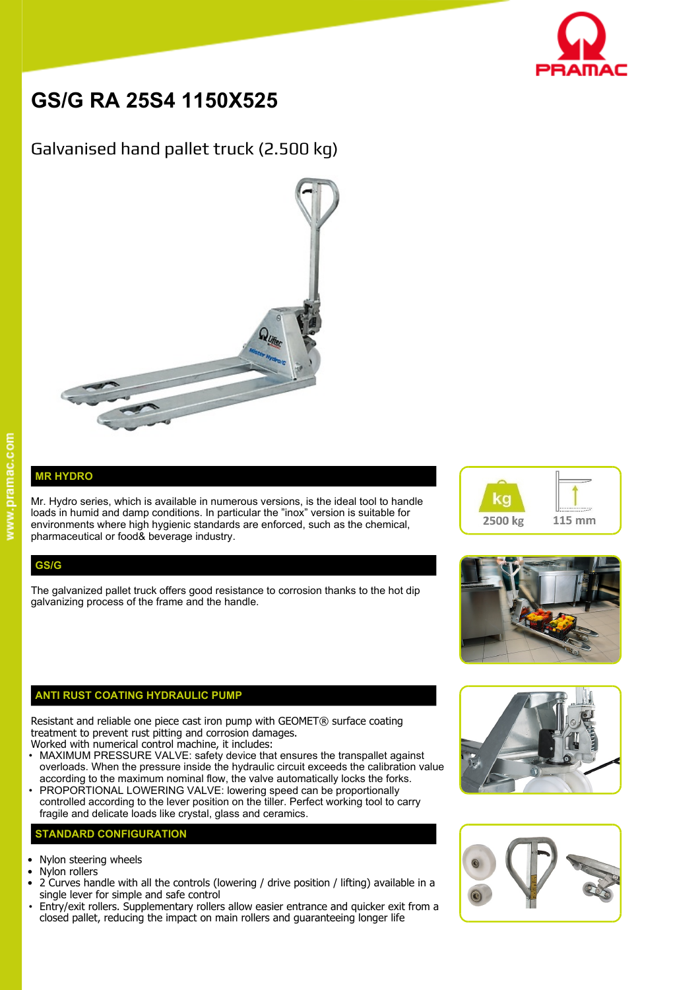

# **GS/G RA 25S4 1150X525**

# Galvanised hand pallet truck (2.500 kg)



## **MR HYDRO**

Mr. Hydro series, which is available in numerous versions, is the ideal tool to handle  $\blacksquare$ loads in humid and damp conditions. In particular the "inox" version is suitable for environments where high hygienic standards are enforced, such as the chemical, pharmaceutical or food& beverage industry.

### **GS/G**

The galvanized pallet truck offers good resistance to corrosion thanks to the hot dip galvanizing process of the frame and the handle.

#### **ANTI RUST COATING HYDRAULIC PUMP**

Resistant and reliable one piece cast iron pump with GEOMET® surface coating treatment to prevent rust pitting and corrosion damages.

- Worked with numerical control machine, it includes: • MAXIMUM PRESSURE VALVE: safety device that ensures the transpallet against overloads. When the pressure inside the hydraulic circuit exceeds the calibration value according to the maximum nominal flow, the valve automatically locks the forks.
- PROPORTIONAL LOWERING VALVE: lowering speed can be proportionally controlled according to the lever position on the tiller. Perfect working tool to carry fragile and delicate loads like crystal, glass and ceramics.

#### **STANDARD CONFIGURATION**

- Nylon steering wheels
- Nylon rollers
- 2 Curves handle with all the controls (lowering / drive position / lifting) available in a single lever for simple and safe control
- Entry/exit rollers. Supplementary rollers allow easier entrance and quicker exit from a closed pallet, reducing the impact on main rollers and guaranteeing longer life







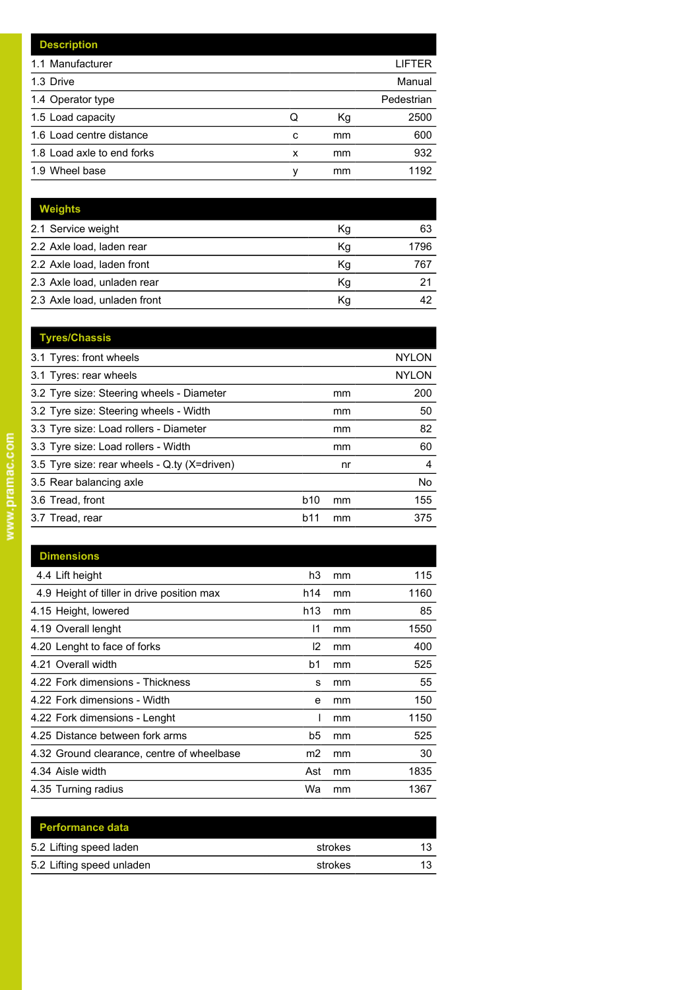|   |    | LIFTER     |
|---|----|------------|
|   |    | Manual     |
|   |    | Pedestrian |
| Q | Кg | 2500       |
| c | mm | 600        |
| x | mm | 932        |
| ν | mm | 1192       |
|   |    |            |

| <b>Weights</b>               |    |      |
|------------------------------|----|------|
| 2.1 Service weight           | Кg | 63   |
| 2.2 Axle load, laden rear    | Κq | 1796 |
| 2.2 Axle load, laden front   | Κq | 767  |
| 2.3 Axle load, unladen rear  | Kg | 21   |
| 2.3 Axle load, unladen front | Κq | 42   |

| <b>Tyres/Chassis</b>                         |            |    |              |
|----------------------------------------------|------------|----|--------------|
| 3.1 Tyres: front wheels                      |            |    | <b>NYLON</b> |
| 3.1 Tyres: rear wheels                       |            |    | <b>NYLON</b> |
| 3.2 Tyre size: Steering wheels - Diameter    |            | mm | 200          |
| 3.2 Tyre size: Steering wheels - Width       |            | mm | 50           |
| 3.3 Tyre size: Load rollers - Diameter       |            | mm | 82           |
| 3.3 Tyre size: Load rollers - Width          |            | mm | 60           |
| 3.5 Tyre size: rear wheels - Q.ty (X=driven) |            | nr | 4            |
| 3.5 Rear balancing axle                      |            |    | <b>No</b>    |
| 3.6 Tread, front                             | <b>b10</b> | mm | 155          |
| 3.7 Tread, rear                              | b11        | mm | 375          |
|                                              |            |    |              |

| <b>Dimensions</b>                          |               |    |      |
|--------------------------------------------|---------------|----|------|
| 4.4 Lift height                            | h3            | mm | 115  |
| 4.9 Height of tiller in drive position max | h14           | mm | 1160 |
| 4.15 Height, lowered                       | h13           | mm | 85   |
| 4.19 Overall lenght                        | 11            | mm | 1550 |
| 4.20 Lenght to face of forks               | $\mathsf{I2}$ | mm | 400  |
| 4.21 Overall width                         | b1            | mm | 525  |
| 4.22 Fork dimensions - Thickness           | s             | mm | 55   |
| 4.22 Fork dimensions - Width               | e             | mm | 150  |
| 4.22 Fork dimensions - Lenght              |               | mm | 1150 |
| 4.25 Distance between fork arms            | b5            | mm | 525  |
| 4.32 Ground clearance, centre of wheelbase | m2            | mm | 30   |
| 4.34 Aisle width                           | Ast           | mm | 1835 |
| 4.35 Turning radius                        | Wa            | mm | 1367 |

| <b>Performance data</b>   |         |    |
|---------------------------|---------|----|
| 5.2 Lifting speed laden   | strokes | 12 |
| 5.2 Lifting speed unladen | strokes |    |